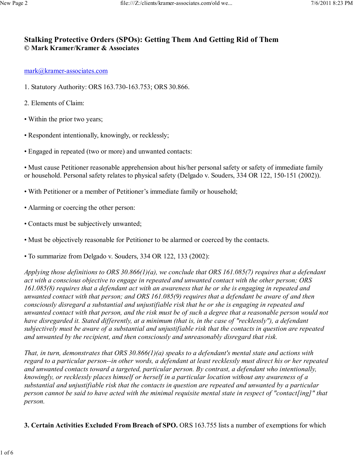# **Stalking Protective Orders (SPOs): Getting Them And Getting Rid of Them © Mark Kramer/Kramer & Associates**

#### mark@kramer-associates.com

- 1. Statutory Authority: ORS 163.730-163.753; ORS 30.866.
- 2. Elements of Claim:
- Within the prior two years;
- Respondent intentionally, knowingly, or recklessly;
- Engaged in repeated (two or more) and unwanted contacts:

• Must cause Petitioner reasonable apprehension about his/her personal safety or safety of immediate family or household. Personal safety relates to physical safety (Delgado v. Souders, 334 OR 122, 150-151 (2002)).

- With Petitioner or a member of Petitioner's immediate family or household;
- Alarming or coercing the other person:
- Contacts must be subjectively unwanted;
- Must be objectively reasonable for Petitioner to be alarmed or coerced by the contacts.
- To summarize from Delgado v. Souders, 334 OR 122, 133 (2002):

*Applying those definitions to ORS 30.866(1)(a), we conclude that ORS 161.085(7) requires that a defendant act with a conscious objective to engage in repeated and unwanted contact with the other person; ORS 161.085(8) requires that a defendant act with an awareness that he or she is engaging in repeated and unwanted contact with that person; and ORS 161.085(9) requires that a defendant be aware of and then consciously disregard a substantial and unjustifiable risk that he or she is engaging in repeated and unwanted contact with that person, and the risk must be of such a degree that a reasonable person would not have disregarded it. Stated differently, at a minimum (that is, in the case of "recklessly"), a defendant subjectively must be aware of a substantial and unjustifiable risk that the contacts in question are repeated and unwanted by the recipient, and then consciously and unreasonably disregard that risk.*

*That, in turn, demonstrates that ORS 30.866(1)(a) speaks to a defendant's mental state and actions with regard to a particular person--in other words, a defendant at least recklessly must direct his or her repeated and unwanted contacts toward a targeted, particular person. By contrast, a defendant who intentionally, knowingly, or recklessly places himself or herself in a particular location without any awareness of a substantial and unjustifiable risk that the contacts in question are repeated and unwanted by a particular person cannot be said to have acted with the minimal requisite mental state in respect of "contact[ing]" that person.*

**3. Certain Activities Excluded From Breach of SPO.** ORS 163.755 lists a number of exemptions for which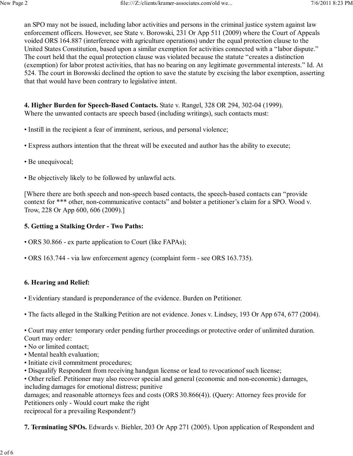an SPO may not be issued, including labor activities and persons in the criminal justice system against law enforcement officers. However, see State v. Borowski, 231 Or App 511 (2009) where the Court of Appeals voided ORS 164.887 (interference with agriculture operations) under the equal protection clause to the United States Constitution, based upon a similar exemption for activities connected with a "labor dispute." The court held that the equal protection clause was violated because the statute "creates a distinction (exemption) for labor protest activities, that has no bearing on any legitimate governmental interests." Id. At 524. The court in Borowski declined the option to save the statute by excising the labor exemption, asserting that that would have been contrary to legislative intent.

**4. Higher Burden for Speech-Based Contacts.** State v. Rangel, 328 OR 294, 302-04 (1999). Where the unwanted contacts are speech based (including writings), such contacts must:

- Instill in the recipient a fear of imminent, serious, and personal violence;
- Express authors intention that the threat will be executed and author has the ability to execute;
- Be unequivocal;
- Be objectively likely to be followed by unlawful acts.

[Where there are both speech and non-speech based contacts, the speech-based contacts can "provide context for \*\*\* other, non-communicative contacts" and bolster a petitioner's claim for a SPO. Wood v. Trow, 228 Or App 600, 606 (2009).]

#### **5. Getting a Stalking Order - Two Paths:**

- ORS 30.866 ex parte application to Court (like FAPAs);
- ORS 163.744 via law enforcement agency (complaint form see ORS 163.735).

### **6. Hearing and Relief:**

- Evidentiary standard is preponderance of the evidence. Burden on Petitioner.
- The facts alleged in the Stalking Petition are not evidence. Jones v. Lindsey, 193 Or App 674, 677 (2004).

• Court may enter temporary order pending further proceedings or protective order of unlimited duration. Court may order:

- No or limited contact;
- Mental health evaluation;
- Initiate civil commitment procedures;
- Disqualify Respondent from receiving handgun license or lead to revocationof such license;

• Other relief. Petitioner may also recover special and general (economic and non-economic) damages, including damages for emotional distress; punitive

damages; and reasonable attorneys fees and costs (ORS 30.866(4)). (Query: Attorney fees provide for Petitioners only - Would court make the right

reciprocal for a prevailing Respondent?)

**7. Terminating SPOs.** Edwards v. Biehler, 203 Or App 271 (2005). Upon application of Respondent and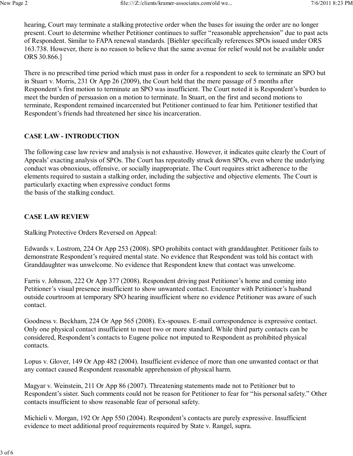hearing, Court may terminate a stalking protective order when the bases for issuing the order are no longer present. Court to determine whether Petitioner continues to suffer "reasonable apprehension" due to past acts of Respondent. Similar to FAPA renewal standards. [Biehler specifically references SPOs issued under ORS 163.738. However, there is no reason to believe that the same avenue for relief would not be available under ORS 30.866.]

There is no prescribed time period which must pass in order for a respondent to seek to terminate an SPO but in Stuart v. Morris, 231 Or App 26 (2009), the Court held that the mere passage of 5 months after Respondent's first motion to terminate an SPO was insufficient. The Court noted it is Respondent's burden to meet the burden of persuasion on a motion to terminate. In Stuart, on the first and second motions to terminate, Respondent remained incarcerated but Petitioner continued to fear him. Petitioner testified that Respondent's friends had threatened her since his incarceration.

# **CASE LAW - INTRODUCTION**

The following case law review and analysis is not exhaustive. However, it indicates quite clearly the Court of Appeals' exacting analysis of SPOs. The Court has repeatedly struck down SPOs, even where the underlying conduct was obnoxious, offensive, or socially inappropriate. The Court requires strict adherence to the elements required to sustain a stalking order, including the subjective and objective elements. The Court is particularly exacting when expressive conduct forms

the basis of the stalking conduct.

# **CASE LAW REVIEW**

Stalking Protective Orders Reversed on Appeal:

Edwards v. Lostrom, 224 Or App 253 (2008). SPO prohibits contact with granddaughter. Petitioner fails to demonstrate Respondent's required mental state. No evidence that Respondent was told his contact with Granddaughter was unwelcome. No evidence that Respondent knew that contact was unwelcome.

Farris v. Johnson, 222 Or App 377 (2008). Respondent driving past Petitioner's home and coming into Petitioner's visual presence insufficient to show unwanted contact. Encounter with Petitioner's husband outside courtroom at temporary SPO hearing insufficient where no evidence Petitioner was aware of such contact.

Goodness v. Beckham, 224 Or App 565 (2008). Ex-spouses. E-mail correspondence is expressive contact. Only one physical contact insufficient to meet two or more standard. While third party contacts can be considered, Respondent's contacts to Eugene police not imputed to Respondent as prohibited physical contacts.

Lopus v. Glover, 149 Or App 482 (2004). Insufficient evidence of more than one unwanted contact or that any contact caused Respondent reasonable apprehension of physical harm.

Magyar v. Weinstein, 211 Or App 86 (2007). Threatening statements made not to Petitioner but to Respondent's sister. Such comments could not be reason for Petitioner to fear for "his personal safety." Other contacts insufficient to show reasonable fear of personal safety.

Michieli v. Morgan, 192 Or App 550 (2004). Respondent's contacts are purely expressive. Insufficient evidence to meet additional proof requirements required by State v. Rangel, supra.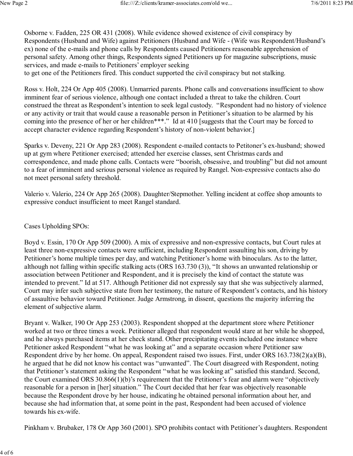Osborne v. Fadden, 225 OR 431 (2008). While evidence showed existence of civil conspiracy by Respondents (Husband and Wife) against Petitioners (Husband and Wife - (Wife was Respondent/Husband's ex) none of the e-mails and phone calls by Respondents caused Petitioners reasonable apprehension of personal safety. Among other things, Respondents signed Petitioners up for magazine subscriptions, music services, and made e-mails to Petitioners' employer seeking

to get one of the Petitioners fired. This conduct supported the civil conspiracy but not stalking.

Ross v. Holt, 224 Or App 405 (2008). Unmarried parents. Phone calls and conversations insufficient to show imminent fear of serious violence, although one contact included a threat to take the children. Court construed the threat as Respondent's intention to seek legal custody. "Respondent had no history of violence or any activity or trait that would cause a reasonable person in Petitioner's situation to be alarmed by his coming into the presence of her or her children\*\*\*." Id at 410 [suggests that the Court may be forced to accept character evidence regarding Respondent's history of non-violent behavior.]

Sparks v. Deveny, 221 Or App 283 (2008). Respondent e-mailed contacts to Petitoner's ex-husband; showed up at gym where Petitioner exercised; attended her exercise classes, sent Christmas cards and correspondence, and made phone calls. Contacts were "boorish, obsessive, and troubling" but did not amount to a fear of imminent and serious personal violence as required by Rangel. Non-expressive contacts also do not meet personal safety threshold.

Valerio v. Valerio, 224 Or App 265 (2008). Daughter/Stepmother. Yelling incident at coffee shop amounts to expressive conduct insufficient to meet Rangel standard.

Cases Upholding SPOs:

Boyd v. Essin, 170 Or App 509 (2000). A mix of expressive and non-expressive contacts, but Court rules at least three non-expressive contacts were sufficient, including Respondent assaulting his son, driving by Petitioner's home multiple times per day, and watching Petitioner's home with binoculars. As to the latter, although not falling within specific stalking acts (ORS 163.730 (3)), "It shows an unwanted relationship or association between Petitioner and Respondent, and it is precisely the kind of contact the statute was intended to prevent." Id at 517. Although Petitioner did not expressly say that she was subjectively alarmed, Court may infer such subjective state from her testimony, the nature of Respondent's contacts, and his history of assaultive behavior toward Petitioner. Judge Armstrong, in dissent, questions the majority inferring the element of subjective alarm.

Bryant v. Walker, 190 Or App 253 (2003). Respondent shopped at the department store where Petitioner worked at two or three times a week. Petitioner alleged that respondent would stare at her while he shopped, and he always purchased items at her check stand. Other precipitating events included one instance where Petitioner asked Respondent "what he was looking at" and a separate occasion where Petitioner saw Respondent drive by her home. On appeal, Respondent raised two issues. First, under ORS 163.738(2)(a)(B), he argued that he did not know his contact was "unwanted". The Court disagreed with Respondent, noting that Petitioner's statement asking the Respondent "what he was looking at" satisfied this standard. Second, the Court examined ORS 30.866(1)(b)'s requirement that the Petitioner's fear and alarm were "objectively reasonable for a person in [her] situation." The Court decided that her fear was objectively reasonable because the Respondent drove by her house, indicating he obtained personal information about her, and because she had information that, at some point in the past, Respondent had been accused of violence towards his ex-wife.

Pinkham v. Brubaker, 178 Or App 360 (2001). SPO prohibits contact with Petitioner's daughters. Respondent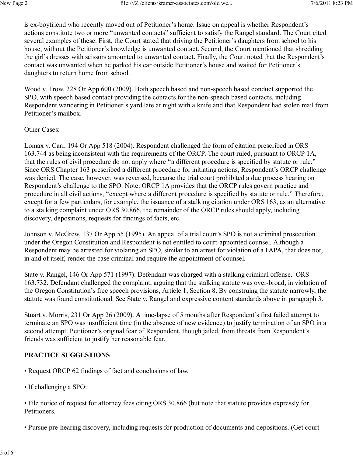is ex-boyfriend who recently moved out of Petitioner's home. Issue on appeal is whether Respondent's actions constitute two or more "unwanted contacts" sufficient to satisfy the Rangel standard. The Court cited several examples of these. First, the Court stated that driving the Petitioner's daughters from school to his house, without the Petitioner's knowledge is unwanted contact. Second, the Court mentioned that shredding the girl's dresses with scissors amounted to unwanted contact. Finally, the Court noted that the Respondent's contact was unwanted when he parked his car outside Petitioner's house and waited for Petitioner's daughters to return home from school.

Wood v. Trow, 228 Or App 600 (2009). Both speech based and non-speech based conduct supported the SPO, with speech based contact providing the contacts for the non-speech based contacts, including Respondent wandering in Petitioner's yard late at night with a knife and that Respondent had stolen mail from Petitioner's mailbox.

### Other Cases:

Lomax v. Carr, 194 Or App 518 (2004). Respondent challenged the form of citation prescribed in ORS 163.744 as being inconsistent with the requirements of the ORCP. The court ruled, pursuant to ORCP 1A, that the rules of civil procedure do not apply where "a different procedure is specified by statute or rule." Since ORS Chapter 163 prescribed a different procedure for initiating actions, Respondent's ORCP challenge was denied. The case, however, was reversed, because the trial court prohibited a due process hearing on Respondent's challenge to the SPO. Note: ORCP 1A provides that the ORCP rules govern practice and procedure in all civil actions, "except where a different procedure is specified by statute or rule." Therefore, except for a few particulars, for example, the issuance of a stalking citation under ORS 163, as an alternative to a stalking complaint under ORS 30.866, the remainder of the ORCP rules should apply, including discovery, depositions, requests for findings of facts, etc.

Johnson v. McGrew, 137 Or App 55 (1995). An appeal of a trial court's SPO is not a criminal prosecution under the Oregon Constitution and Respondent is not entitled to court-appointed counsel. Although a Respondent may be arrested for violating an SPO, similar to an arrest for violation of a FAPA, that does not, in and of itself, render the case criminal and require the appointment of counsel.

State v. Rangel, 146 Or App 571 (1997). Defendant was charged with a stalking criminal offense. ORS 163.732. Defendant challenged the complaint, arguing that the stalking statute was over-broad, in violation of the Oregon Constitution's free speech provisions, Article 1, Section 8. By construing the statute narrowly, the statute was found constitutional. See State v. Rangel and expressive content standards above in paragraph 3.

Stuart v. Morris, 231 Or App 26 (2009). A time-lapse of 5 months after Respondent's first failed attempt to terminate an SPO was insufficient time (in the absence of new evidence) to justify termination of an SPO in a second attempt. Petitioner's original fear of Respondent, though jailed, from threats from Respondent's friends was sufficient to justify her reasonable fear.

# **PRACTICE SUGGESTIONS**

- Request ORCP 62 findings of fact and conclusions of law.
- If challenging a SPO:
- File notice of request for attorney fees citing ORS 30.866 (but note that statute provides expressly for Petitioners.
- Pursue pre-hearing discovery, including requests for production of documents and depositions. (Get court